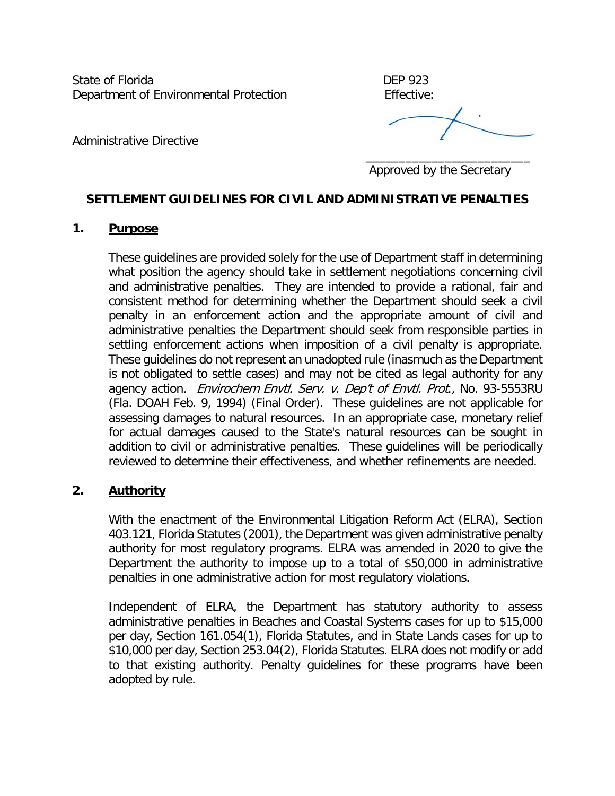State of Florida **DEP** 923 Department of Environmental Protection Effective:

Administrative Directive

 $\overline{\phantom{a}}$  , and the contract of the contract of the contract of the contract of the contract of the contract of the contract of the contract of the contract of the contract of the contract of the contract of the contrac Approved by the Secretary

# **SETTLEMENT GUIDELINES FOR CIVIL AND ADMINISTRATIVE PENALTIES**

## **1. Purpose**

These guidelines are provided solely for the use of Department staff in determining what position the agency should take in settlement negotiations concerning civil and administrative penalties. They are intended to provide a rational, fair and consistent method for determining whether the Department should seek a civil penalty in an enforcement action and the appropriate amount of civil and administrative penalties the Department should seek from responsible parties in settling enforcement actions when imposition of a civil penalty is appropriate. These guidelines do not represent an unadopted rule (inasmuch as the Department is not obligated to settle cases) and may not be cited as legal authority for any agency action. Envirochem Envtl. Serv. v. Dep't of Envtl. Prot., No. 93-5553RU (Fla. DOAH Feb. 9, 1994) (Final Order). These guidelines are not applicable for assessing damages to natural resources. In an appropriate case, monetary relief for actual damages caused to the State's natural resources can be sought in addition to civil or administrative penalties. These guidelines will be periodically reviewed to determine their effectiveness, and whether refinements are needed.

#### **2. Authority**

With the enactment of the Environmental Litigation Reform Act (ELRA), Section 403.121, Florida Statutes (2001), the Department was given administrative penalty authority for most regulatory programs. ELRA was amended in 2020 to give the Department the authority to impose up to a total of \$50,000 in administrative penalties in one administrative action for most regulatory violations.

Independent of ELRA, the Department has statutory authority to assess administrative penalties in Beaches and Coastal Systems cases for up to \$15,000 per day, Section 161.054(1), Florida Statutes, and in State Lands cases for up to \$10,000 per day, Section 253.04(2), Florida Statutes. ELRA does not modify or add to that existing authority. Penalty guidelines for these programs have been adopted by rule.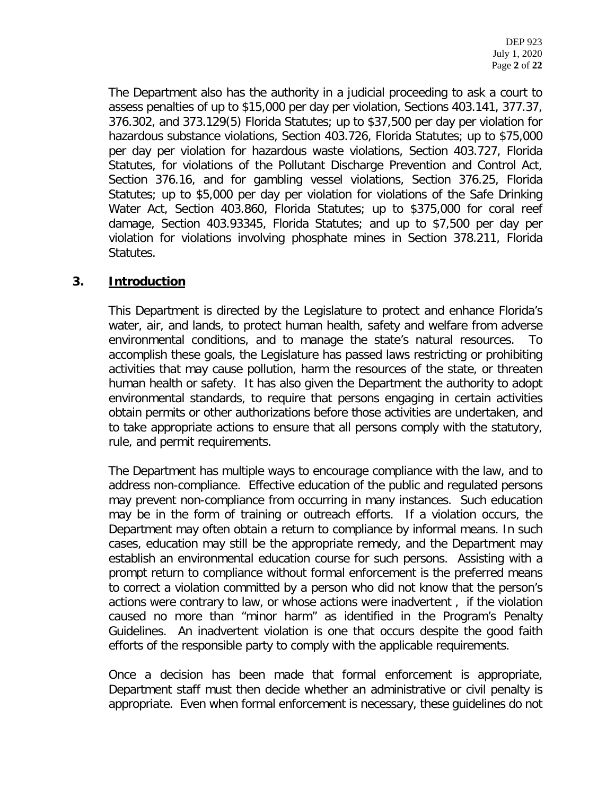The Department also has the authority in a judicial proceeding to ask a court to assess penalties of up to \$15,000 per day per violation, Sections 403.141, 377.37, 376.302, and 373.129(5) Florida Statutes; up to \$37,500 per day per violation for hazardous substance violations, Section 403.726, Florida Statutes; up to \$75,000 per day per violation for hazardous waste violations, Section 403.727, Florida Statutes, for violations of the Pollutant Discharge Prevention and Control Act, Section 376.16, and for gambling vessel violations, Section 376.25, Florida Statutes; up to \$5,000 per day per violation for violations of the Safe Drinking Water Act, Section 403.860, Florida Statutes; up to \$375,000 for coral reef damage, Section 403.93345, Florida Statutes; and up to \$7,500 per day per violation for violations involving phosphate mines in Section 378.211, Florida Statutes.

## **3. Introduction**

This Department is directed by the Legislature to protect and enhance Florida's water, air, and lands, to protect human health, safety and welfare from adverse environmental conditions, and to manage the state's natural resources. To accomplish these goals, the Legislature has passed laws restricting or prohibiting activities that may cause pollution, harm the resources of the state, or threaten human health or safety. It has also given the Department the authority to adopt environmental standards, to require that persons engaging in certain activities obtain permits or other authorizations before those activities are undertaken, and to take appropriate actions to ensure that all persons comply with the statutory, rule, and permit requirements.

The Department has multiple ways to encourage compliance with the law, and to address non-compliance. Effective education of the public and regulated persons may prevent non-compliance from occurring in many instances. Such education may be in the form of training or outreach efforts. If a violation occurs, the Department may often obtain a return to compliance by informal means. In such cases, education may still be the appropriate remedy, and the Department may establish an environmental education course for such persons. Assisting with a prompt return to compliance without formal enforcement is the preferred means to correct a violation committed by a person who did not know that the person's actions were contrary to law, or whose actions were inadvertent , if the violation caused no more than "minor harm" as identified in the Program's Penalty Guidelines. An inadvertent violation is one that occurs despite the good faith efforts of the responsible party to comply with the applicable requirements.

Once a decision has been made that formal enforcement is appropriate, Department staff must then decide whether an administrative or civil penalty is appropriate. Even when formal enforcement is necessary, these guidelines do not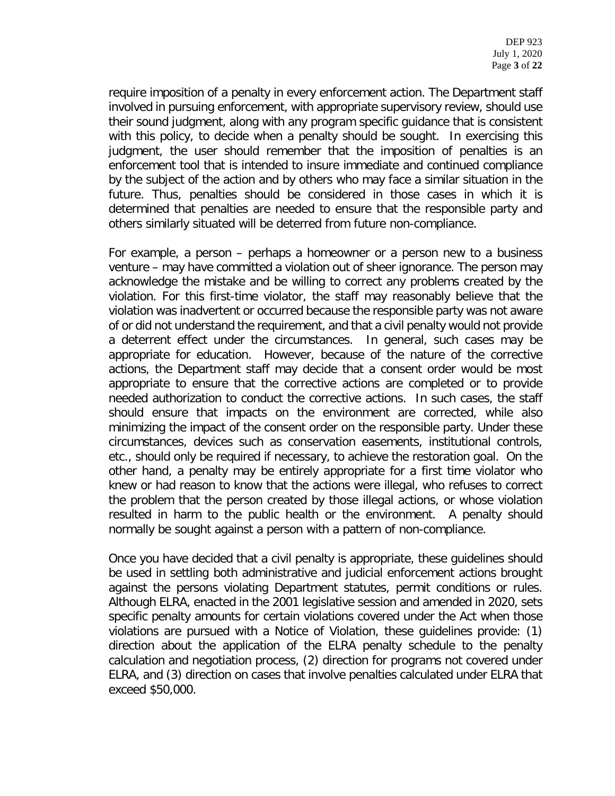require imposition of a penalty in every enforcement action. The Department staff involved in pursuing enforcement, with appropriate supervisory review, should use their sound judgment, along with any program specific guidance that is consistent with this policy, to decide when a penalty should be sought. In exercising this judgment, the user should remember that the imposition of penalties is an enforcement tool that is intended to insure immediate and continued compliance by the subject of the action and by others who may face a similar situation in the future. Thus, penalties should be considered in those cases in which it is determined that penalties are needed to ensure that the responsible party and others similarly situated will be deterred from future non-compliance.

For example, a person – perhaps a homeowner or a person new to a business venture – may have committed a violation out of sheer ignorance. The person may acknowledge the mistake and be willing to correct any problems created by the violation. For this first-time violator, the staff may reasonably believe that the violation was inadvertent or occurred because the responsible party was not aware of or did not understand the requirement, and that a civil penalty would not provide a deterrent effect under the circumstances. In general, such cases may be appropriate for education. However, because of the nature of the corrective actions, the Department staff may decide that a consent order would be most appropriate to ensure that the corrective actions are completed or to provide needed authorization to conduct the corrective actions. In such cases, the staff should ensure that impacts on the environment are corrected, while also minimizing the impact of the consent order on the responsible party. Under these circumstances, devices such as conservation easements, institutional controls, etc., should only be required if necessary, to achieve the restoration goal. On the other hand, a penalty may be entirely appropriate for a first time violator who knew or had reason to know that the actions were illegal, who refuses to correct the problem that the person created by those illegal actions, or whose violation resulted in harm to the public health or the environment. A penalty should normally be sought against a person with a pattern of non-compliance.

Once you have decided that a civil penalty is appropriate, these guidelines should be used in settling both administrative and judicial enforcement actions brought against the persons violating Department statutes, permit conditions or rules. Although ELRA, enacted in the 2001 legislative session and amended in 2020, sets specific penalty amounts for certain violations covered under the Act when those violations are pursued with a Notice of Violation, these guidelines provide: (1) direction about the application of the ELRA penalty schedule to the penalty calculation and negotiation process, (2) direction for programs not covered under ELRA, and (3) direction on cases that involve penalties calculated under ELRA that exceed \$50,000.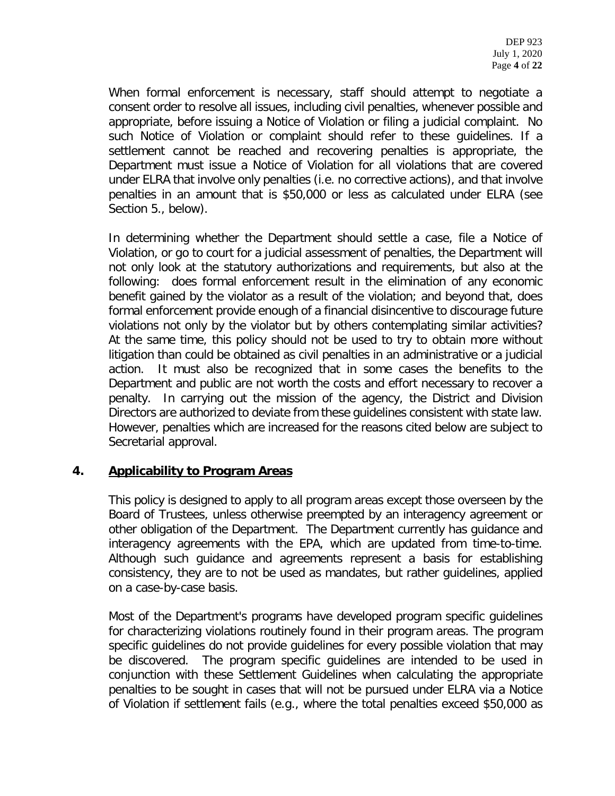When formal enforcement is necessary, staff should attempt to negotiate a consent order to resolve all issues, including civil penalties, whenever possible and appropriate, before issuing a Notice of Violation or filing a judicial complaint. No such Notice of Violation or complaint should refer to these guidelines. If a settlement cannot be reached and recovering penalties is appropriate, the Department must issue a Notice of Violation for all violations that are covered under ELRA that involve only penalties (i.e. no corrective actions), and that involve penalties in an amount that is \$50,000 or less as calculated under ELRA (see Section 5., below).

In determining whether the Department should settle a case, file a Notice of Violation, or go to court for a judicial assessment of penalties, the Department will not only look at the statutory authorizations and requirements, but also at the following: does formal enforcement result in the elimination of any economic benefit gained by the violator as a result of the violation; and beyond that, does formal enforcement provide enough of a financial disincentive to discourage future violations not only by the violator but by others contemplating similar activities? At the same time, this policy should not be used to try to obtain more without litigation than could be obtained as civil penalties in an administrative or a judicial action. It must also be recognized that in some cases the benefits to the Department and public are not worth the costs and effort necessary to recover a penalty. In carrying out the mission of the agency, the District and Division Directors are authorized to deviate from these guidelines consistent with state law. However, penalties which are increased for the reasons cited below are subject to Secretarial approval.

## **4. Applicability to Program Areas**

This policy is designed to apply to all program areas except those overseen by the Board of Trustees, unless otherwise preempted by an interagency agreement or other obligation of the Department. The Department currently has guidance and interagency agreements with the EPA, which are updated from time-to-time. Although such guidance and agreements represent a basis for establishing consistency, they are to not be used as mandates, but rather guidelines, applied on a case-by-case basis.

Most of the Department's programs have developed program specific guidelines for characterizing violations routinely found in their program areas. The program specific guidelines do not provide guidelines for every possible violation that may be discovered. The program specific guidelines are intended to be used in conjunction with these Settlement Guidelines when calculating the appropriate penalties to be sought in cases that will not be pursued under ELRA via a Notice of Violation if settlement fails (e.g., where the total penalties exceed \$50,000 as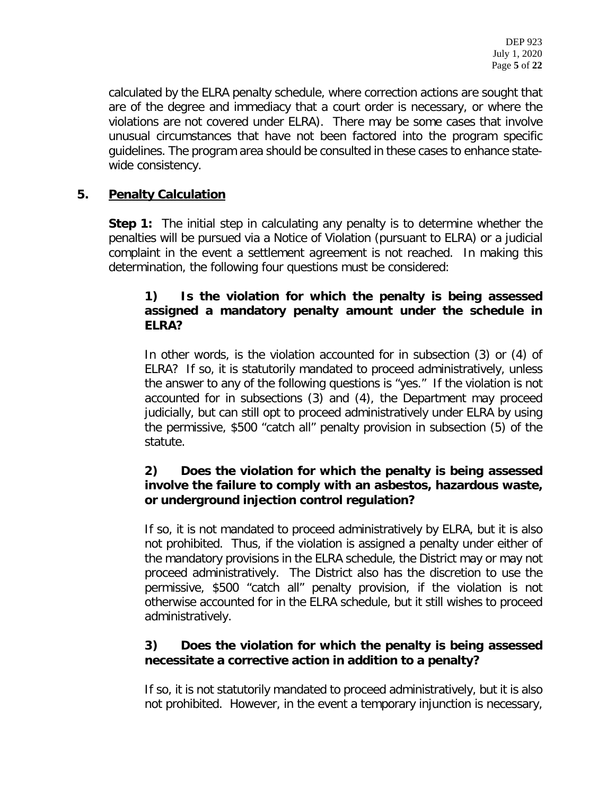calculated by the ELRA penalty schedule, where correction actions are sought that are of the degree and immediacy that a court order is necessary, or where the violations are not covered under ELRA). There may be some cases that involve unusual circumstances that have not been factored into the program specific guidelines. The program area should be consulted in these cases to enhance statewide consistency.

# **5. Penalty Calculation**

**Step 1:** The initial step in calculating any penalty is to determine whether the penalties will be pursued via a Notice of Violation (pursuant to ELRA) or a judicial complaint in the event a settlement agreement is not reached. In making this determination, the following four questions must be considered:

## **1) Is the violation for which the penalty is being assessed assigned a mandatory penalty amount under the schedule in ELRA?**

In other words, is the violation accounted for in subsection (3) or (4) of ELRA? If so, it is statutorily mandated to proceed administratively, unless the answer to any of the following questions is "yes." If the violation is not accounted for in subsections (3) and (4), the Department may proceed judicially, but can still opt to proceed administratively under ELRA by using the permissive, \$500 "catch all" penalty provision in subsection (5) of the statute.

# **2) Does the violation for which the penalty is being assessed involve the failure to comply with an asbestos, hazardous waste, or underground injection control regulation?**

If so, it is not mandated to proceed administratively by ELRA, but it is also not prohibited. Thus, if the violation is assigned a penalty under either of the mandatory provisions in the ELRA schedule, the District may or may not proceed administratively. The District also has the discretion to use the permissive, \$500 "catch all" penalty provision, if the violation is not otherwise accounted for in the ELRA schedule, but it still wishes to proceed administratively.

# **3) Does the violation for which the penalty is being assessed necessitate a corrective action in addition to a penalty?**

If so, it is not statutorily mandated to proceed administratively, but it is also not prohibited. However, in the event a temporary injunction is necessary,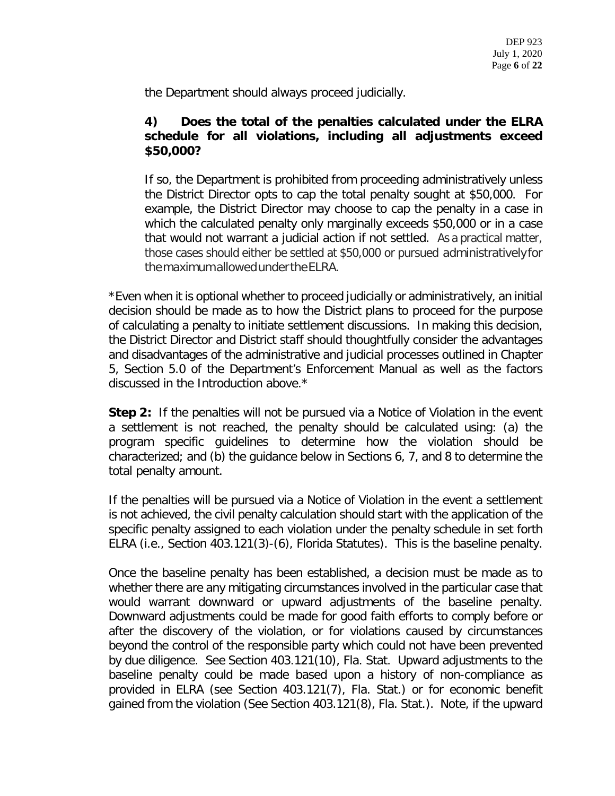the Department should always proceed judicially.

## **4) Does the total of the penalties calculated under the ELRA schedule for all violations, including all adjustments exceed \$50,000?**

If so, the Department is prohibited from proceeding administratively unless the District Director opts to cap the total penalty sought at \$50,000. For example, the District Director may choose to cap the penalty in a case in which the calculated penalty only marginally exceeds \$50,000 or in a case that would not warrant a judicial action if not settled. As a practical matter, those cases should either be settled at \$50,000 or pursued administrativelyfor themaximumallowedundertheELRA.

\*Even when it is optional whether to proceed judicially or administratively, an initial decision should be made as to how the District plans to proceed for the purpose of calculating a penalty to initiate settlement discussions. In making this decision, the District Director and District staff should thoughtfully consider the advantages and disadvantages of the administrative and judicial processes outlined in Chapter 5, Section 5.0 of the Department's Enforcement Manual as well as the factors discussed in the Introduction above.\*

**Step 2:** If the penalties will not be pursued via a Notice of Violation in the event a settlement is not reached, the penalty should be calculated using: (a) the program specific guidelines to determine how the violation should be characterized; and (b) the guidance below in Sections 6, 7, and 8 to determine the total penalty amount.

If the penalties will be pursued via a Notice of Violation in the event a settlement is not achieved, the civil penalty calculation should start with the application of the specific penalty assigned to each violation under the penalty schedule in set forth ELRA (i.e., Section 403.121(3)-(6), Florida Statutes). This is the baseline penalty.

Once the baseline penalty has been established, a decision must be made as to whether there are any mitigating circumstances involved in the particular case that would warrant downward or upward adjustments of the baseline penalty. Downward adjustments could be made for good faith efforts to comply before or after the discovery of the violation, or for violations caused by circumstances beyond the control of the responsible party which could not have been prevented by due diligence. See Section 403.121(10), Fla. Stat. Upward adjustments to the baseline penalty could be made based upon a history of non-compliance as provided in ELRA (see Section 403.121(7), Fla. Stat.) or for economic benefit gained from the violation (See Section 403.121(8), Fla. Stat.). Note, if the upward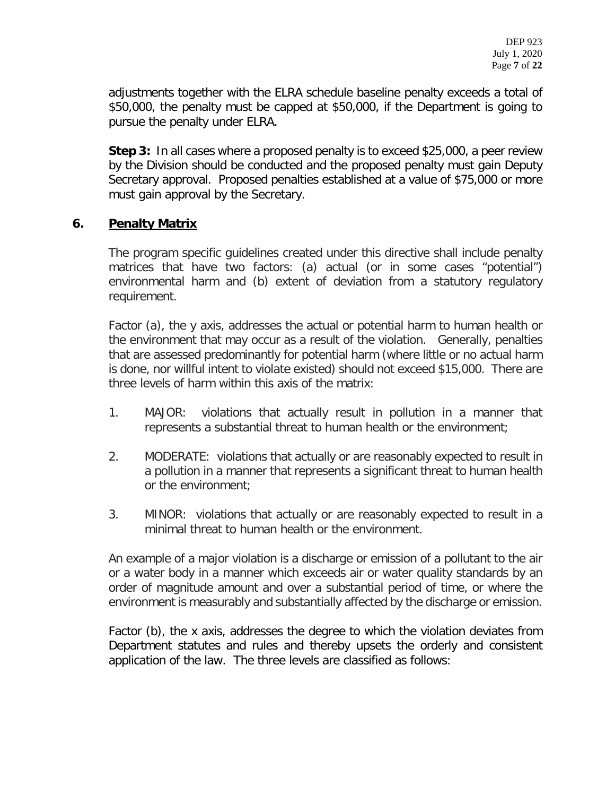adjustments together with the ELRA schedule baseline penalty exceeds a total of \$50,000, the penalty must be capped at \$50,000, if the Department is going to pursue the penalty under ELRA.

**Step 3:** In all cases where a proposed penalty is to exceed \$25,000, a peer review by the Division should be conducted and the proposed penalty must gain Deputy Secretary approval. Proposed penalties established at a value of \$75,000 or more must gain approval by the Secretary.

## **6. Penalty Matrix**

The program specific guidelines created under this directive shall include penalty matrices that have two factors: (a) actual (or in some cases "potential") environmental harm and (b) extent of deviation from a statutory regulatory requirement.

Factor (a), the y axis, addresses the actual or potential harm to human health or the environment that may occur as a result of the violation. Generally, penalties that are assessed predominantly for potential harm (where little or no actual harm is done, nor willful intent to violate existed) should not exceed \$15,000. There are three levels of harm within this axis of the matrix:

- 1. MAJOR: violations that actually result in pollution in a manner that represents a substantial threat to human health or the environment;
- 2. MODERATE: violations that actually or are reasonably expected to result in a pollution in a manner that represents a significant threat to human health or the environment;
- 3. MINOR: violations that actually or are reasonably expected to result in a minimal threat to human health or the environment.

An example of a major violation is a discharge or emission of a pollutant to the air or a water body in a manner which exceeds air or water quality standards by an order of magnitude amount and over a substantial period of time, or where the environment is measurably and substantially affected by the discharge or emission.

Factor (b), the x axis, addresses the degree to which the violation deviates from Department statutes and rules and thereby upsets the orderly and consistent application of the law. The three levels are classified as follows: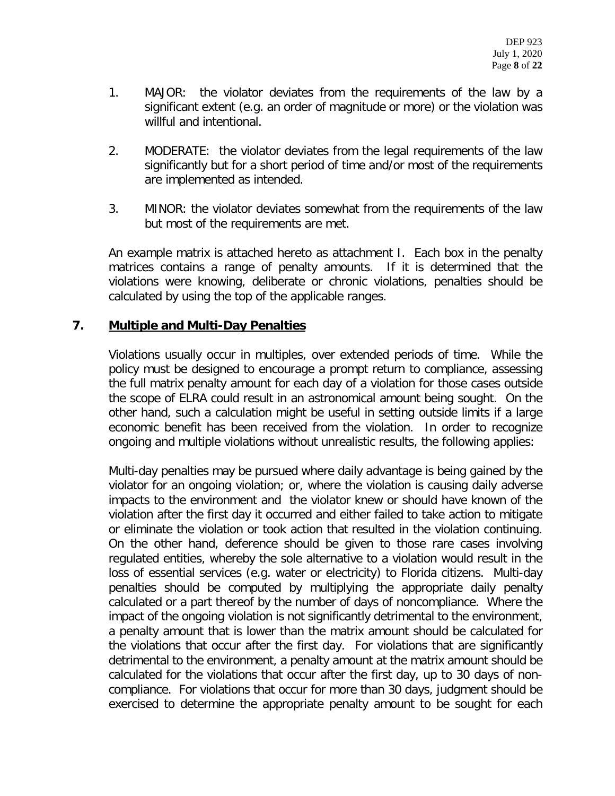- 1. MAJOR: the violator deviates from the requirements of the law by a significant extent (e.g. an order of magnitude or more) or the violation was willful and intentional.
- 2. MODERATE: the violator deviates from the legal requirements of the law significantly but for a short period of time and/or most of the requirements are implemented as intended.
- 3. MINOR: the violator deviates somewhat from the requirements of the law but most of the requirements are met.

An example matrix is attached hereto as attachment I. Each box in the penalty matrices contains a range of penalty amounts. If it is determined that the violations were knowing, deliberate or chronic violations, penalties should be calculated by using the top of the applicable ranges.

## **7. Multiple and Multi-Day Penalties**

Violations usually occur in multiples, over extended periods of time. While the policy must be designed to encourage a prompt return to compliance, assessing the full matrix penalty amount for each day of a violation for those cases outside the scope of ELRA could result in an astronomical amount being sought. On the other hand, such a calculation might be useful in setting outside limits if a large economic benefit has been received from the violation. In order to recognize ongoing and multiple violations without unrealistic results, the following applies:

Multi-day penalties may be pursued where daily advantage is being gained by the violator for an ongoing violation; or, where the violation is causing daily adverse impacts to the environment and the violator knew or should have known of the violation after the first day it occurred and either failed to take action to mitigate or eliminate the violation or took action that resulted in the violation continuing. On the other hand, deference should be given to those rare cases involving regulated entities, whereby the sole alternative to a violation would result in the loss of essential services (e.g. water or electricity) to Florida citizens. Multi-day penalties should be computed by multiplying the appropriate daily penalty calculated or a part thereof by the number of days of noncompliance. Where the impact of the ongoing violation is not significantly detrimental to the environment, a penalty amount that is lower than the matrix amount should be calculated for the violations that occur after the first day. For violations that are significantly detrimental to the environment, a penalty amount at the matrix amount should be calculated for the violations that occur after the first day, up to 30 days of noncompliance. For violations that occur for more than 30 days, judgment should be exercised to determine the appropriate penalty amount to be sought for each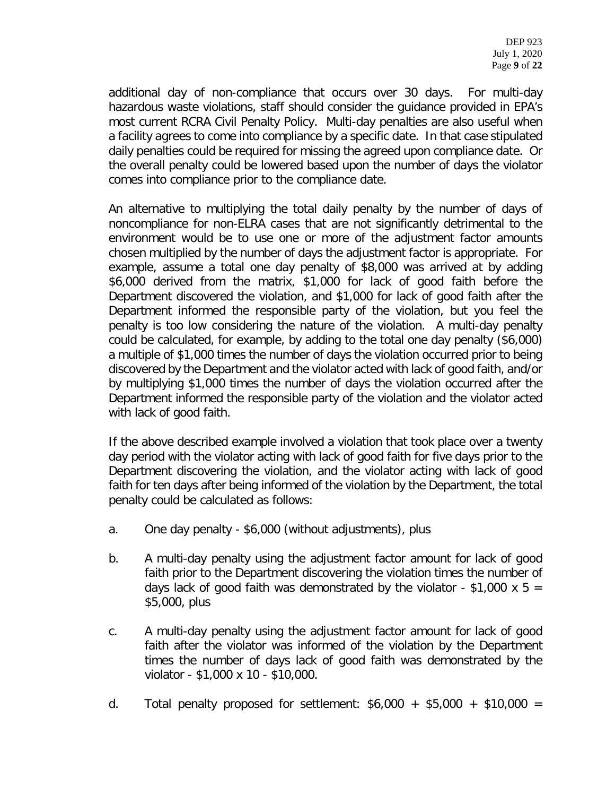additional day of non-compliance that occurs over 30 days. For multi-day hazardous waste violations, staff should consider the guidance provided in EPA's most current RCRA Civil Penalty Policy. Multi-day penalties are also useful when a facility agrees to come into compliance by a specific date. In that case stipulated daily penalties could be required for missing the agreed upon compliance date. Or the overall penalty could be lowered based upon the number of days the violator comes into compliance prior to the compliance date.

An alternative to multiplying the total daily penalty by the number of days of noncompliance for non-ELRA cases that are not significantly detrimental to the environment would be to use one or more of the adjustment factor amounts chosen multiplied by the number of days the adjustment factor is appropriate. For example, assume a total one day penalty of \$8,000 was arrived at by adding \$6,000 derived from the matrix, \$1,000 for lack of good faith before the Department discovered the violation, and \$1,000 for lack of good faith after the Department informed the responsible party of the violation, but you feel the penalty is too low considering the nature of the violation. A multi-day penalty could be calculated, for example, by adding to the total one day penalty (\$6,000) a multiple of \$1,000 times the number of days the violation occurred prior to being discovered by the Department and the violator acted with lack of good faith, and/or by multiplying \$1,000 times the number of days the violation occurred after the Department informed the responsible party of the violation and the violator acted with lack of good faith.

If the above described example involved a violation that took place over a twenty day period with the violator acting with lack of good faith for five days prior to the Department discovering the violation, and the violator acting with lack of good faith for ten days after being informed of the violation by the Department, the total penalty could be calculated as follows:

- a. One day penalty \$6,000 (without adjustments), plus
- b. A multi-day penalty using the adjustment factor amount for lack of good faith prior to the Department discovering the violation times the number of days lack of good faith was demonstrated by the violator - \$1,000 x 5 = \$5,000, plus
- c. A multi-day penalty using the adjustment factor amount for lack of good faith after the violator was informed of the violation by the Department times the number of days lack of good faith was demonstrated by the violator - \$1,000 x 10 - \$10,000.
- d. Total penalty proposed for settlement:  $$6,000 + $5,000 + $10,000 =$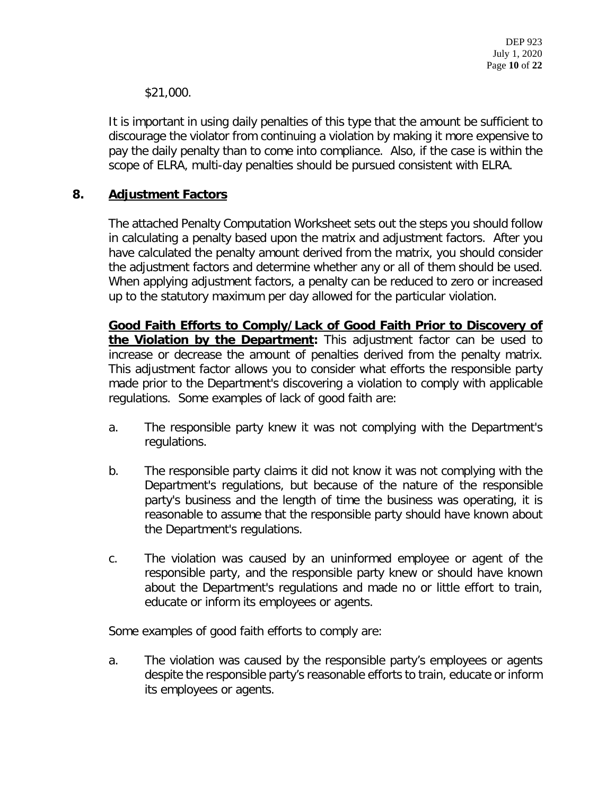\$21,000.

It is important in using daily penalties of this type that the amount be sufficient to discourage the violator from continuing a violation by making it more expensive to pay the daily penalty than to come into compliance. Also, if the case is within the scope of ELRA, multi-day penalties should be pursued consistent with ELRA.

## **8. Adjustment Factors**

The attached Penalty Computation Worksheet sets out the steps you should follow in calculating a penalty based upon the matrix and adjustment factors. After you have calculated the penalty amount derived from the matrix, you should consider the adjustment factors and determine whether any or all of them should be used. When applying adjustment factors, a penalty can be reduced to zero or increased up to the statutory maximum per day allowed for the particular violation.

**Good Faith Efforts to Comply/Lack of Good Faith Prior to Discovery of the Violation by the Department:** This adjustment factor can be used to increase or decrease the amount of penalties derived from the penalty matrix. This adjustment factor allows you to consider what efforts the responsible party made prior to the Department's discovering a violation to comply with applicable regulations. Some examples of lack of good faith are:

- a. The responsible party knew it was not complying with the Department's regulations.
- b. The responsible party claims it did not know it was not complying with the Department's regulations, but because of the nature of the responsible party's business and the length of time the business was operating, it is reasonable to assume that the responsible party should have known about the Department's regulations.
- c. The violation was caused by an uninformed employee or agent of the responsible party, and the responsible party knew or should have known about the Department's regulations and made no or little effort to train, educate or inform its employees or agents.

Some examples of good faith efforts to comply are:

a. The violation was caused by the responsible party's employees or agents despite the responsible party's reasonable efforts to train, educate or inform its employees or agents.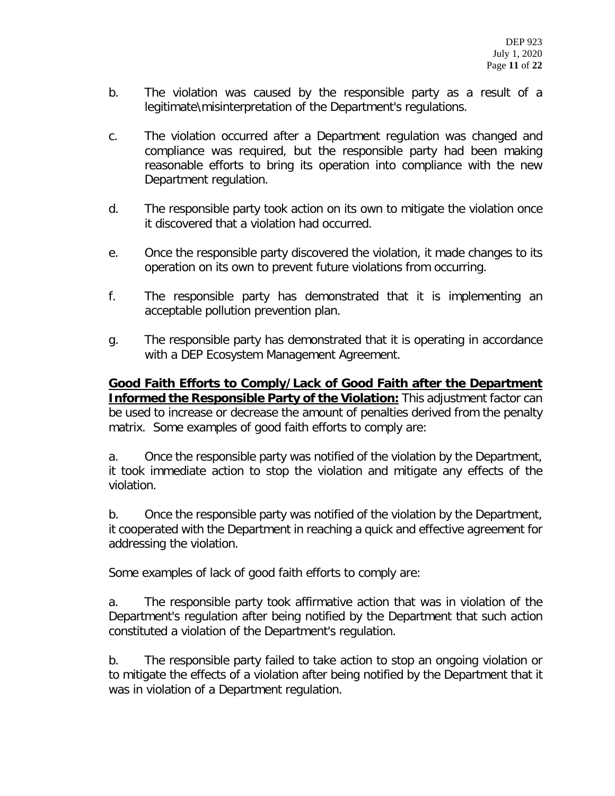- b. The violation was caused by the responsible party as a result of a legitimate\misinterpretation of the Department's regulations.
- c. The violation occurred after a Department regulation was changed and compliance was required, but the responsible party had been making reasonable efforts to bring its operation into compliance with the new Department regulation.
- d. The responsible party took action on its own to mitigate the violation once it discovered that a violation had occurred.
- e. Once the responsible party discovered the violation, it made changes to its operation on its own to prevent future violations from occurring.
- f. The responsible party has demonstrated that it is implementing an acceptable pollution prevention plan.
- g. The responsible party has demonstrated that it is operating in accordance with a DEP Ecosystem Management Agreement.

**Good Faith Efforts to Comply/Lack of Good Faith after the Department Informed the Responsible Party of the Violation:** This adjustment factor can be used to increase or decrease the amount of penalties derived from the penalty matrix. Some examples of good faith efforts to comply are:

a. Once the responsible party was notified of the violation by the Department, it took immediate action to stop the violation and mitigate any effects of the violation.

b. Once the responsible party was notified of the violation by the Department, it cooperated with the Department in reaching a quick and effective agreement for addressing the violation.

Some examples of lack of good faith efforts to comply are:

a. The responsible party took affirmative action that was in violation of the Department's regulation after being notified by the Department that such action constituted a violation of the Department's regulation.

b. The responsible party failed to take action to stop an ongoing violation or to mitigate the effects of a violation after being notified by the Department that it was in violation of a Department regulation.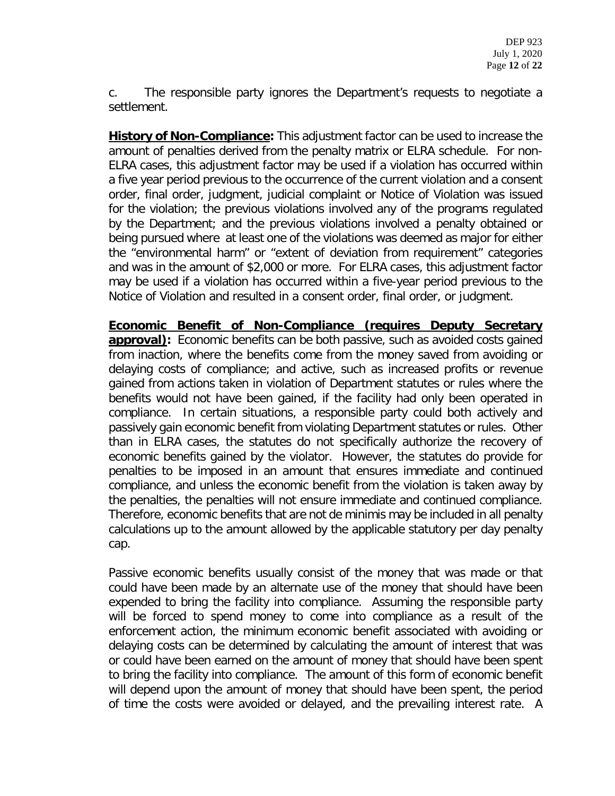c. The responsible party ignores the Department's requests to negotiate a settlement.

**History of Non-Compliance:** This adjustment factor can be used to increase the amount of penalties derived from the penalty matrix or ELRA schedule. For non-ELRA cases, this adjustment factor may be used if a violation has occurred within a five year period previous to the occurrence of the current violation and a consent order, final order, judgment, judicial complaint or Notice of Violation was issued for the violation; the previous violations involved any of the programs regulated by the Department; and the previous violations involved a penalty obtained or being pursued where at least one of the violations was deemed as major for either the "environmental harm" or "extent of deviation from requirement" categories and was in the amount of \$2,000 or more. For ELRA cases, this adjustment factor may be used if a violation has occurred within a five-year period previous to the Notice of Violation and resulted in a consent order, final order, or judgment.

**Economic Benefit of Non-Compliance (requires Deputy Secretary approval)**: Economic benefits can be both passive, such as avoided costs gained from inaction, where the benefits come from the money saved from avoiding or delaying costs of compliance; and active, such as increased profits or revenue gained from actions taken in violation of Department statutes or rules where the benefits would not have been gained, if the facility had only been operated in compliance. In certain situations, a responsible party could both actively and passively gain economic benefit from violating Department statutes or rules. Other than in ELRA cases, the statutes do not specifically authorize the recovery of economic benefits gained by the violator. However, the statutes do provide for penalties to be imposed in an amount that ensures immediate and continued compliance, and unless the economic benefit from the violation is taken away by the penalties, the penalties will not ensure immediate and continued compliance. Therefore, economic benefits that are not de minimis may be included in all penalty calculations up to the amount allowed by the applicable statutory per day penalty cap.

Passive economic benefits usually consist of the money that was made or that could have been made by an alternate use of the money that should have been expended to bring the facility into compliance. Assuming the responsible party will be forced to spend money to come into compliance as a result of the enforcement action, the minimum economic benefit associated with avoiding or delaying costs can be determined by calculating the amount of interest that was or could have been earned on the amount of money that should have been spent to bring the facility into compliance. The amount of this form of economic benefit will depend upon the amount of money that should have been spent, the period of time the costs were avoided or delayed, and the prevailing interest rate. A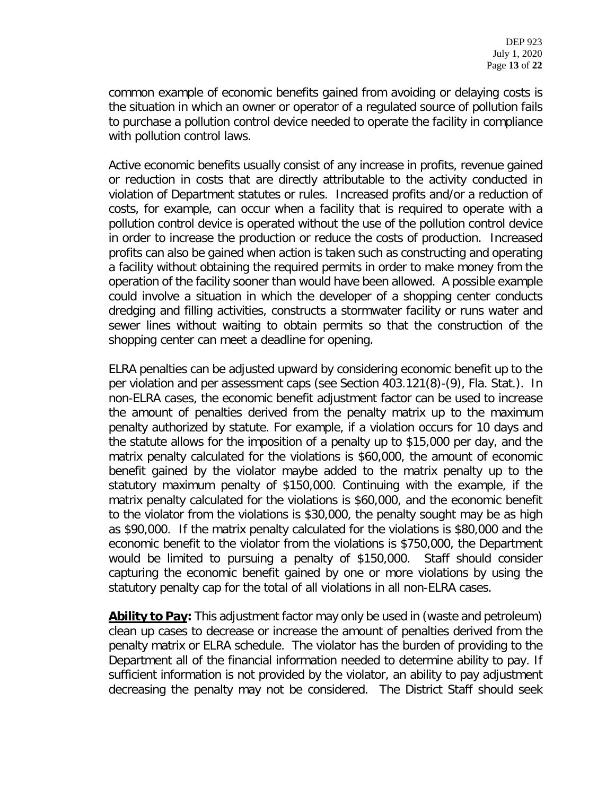common example of economic benefits gained from avoiding or delaying costs is the situation in which an owner or operator of a regulated source of pollution fails to purchase a pollution control device needed to operate the facility in compliance with pollution control laws.

Active economic benefits usually consist of any increase in profits, revenue gained or reduction in costs that are directly attributable to the activity conducted in violation of Department statutes or rules. Increased profits and/or a reduction of costs, for example, can occur when a facility that is required to operate with a pollution control device is operated without the use of the pollution control device in order to increase the production or reduce the costs of production. Increased profits can also be gained when action is taken such as constructing and operating a facility without obtaining the required permits in order to make money from the operation of the facility sooner than would have been allowed. A possible example could involve a situation in which the developer of a shopping center conducts dredging and filling activities, constructs a stormwater facility or runs water and sewer lines without waiting to obtain permits so that the construction of the shopping center can meet a deadline for opening.

ELRA penalties can be adjusted upward by considering economic benefit up to the per violation and per assessment caps (see Section 403.121(8)-(9), Fla. Stat.). In non-ELRA cases, the economic benefit adjustment factor can be used to increase the amount of penalties derived from the penalty matrix up to the maximum penalty authorized by statute. For example, if a violation occurs for 10 days and the statute allows for the imposition of a penalty up to \$15,000 per day, and the matrix penalty calculated for the violations is \$60,000, the amount of economic benefit gained by the violator maybe added to the matrix penalty up to the statutory maximum penalty of \$150,000. Continuing with the example, if the matrix penalty calculated for the violations is \$60,000, and the economic benefit to the violator from the violations is \$30,000, the penalty sought may be as high as \$90,000. If the matrix penalty calculated for the violations is \$80,000 and the economic benefit to the violator from the violations is \$750,000, the Department would be limited to pursuing a penalty of \$150,000. Staff should consider capturing the economic benefit gained by one or more violations by using the statutory penalty cap for the total of all violations in all non-ELRA cases.

**Ability to Pay:** This adjustment factor may only be used in (waste and petroleum) clean up cases to decrease or increase the amount of penalties derived from the penalty matrix or ELRA schedule. The violator has the burden of providing to the Department all of the financial information needed to determine ability to pay. If sufficient information is not provided by the violator, an ability to pay adjustment decreasing the penalty may not be considered. The District Staff should seek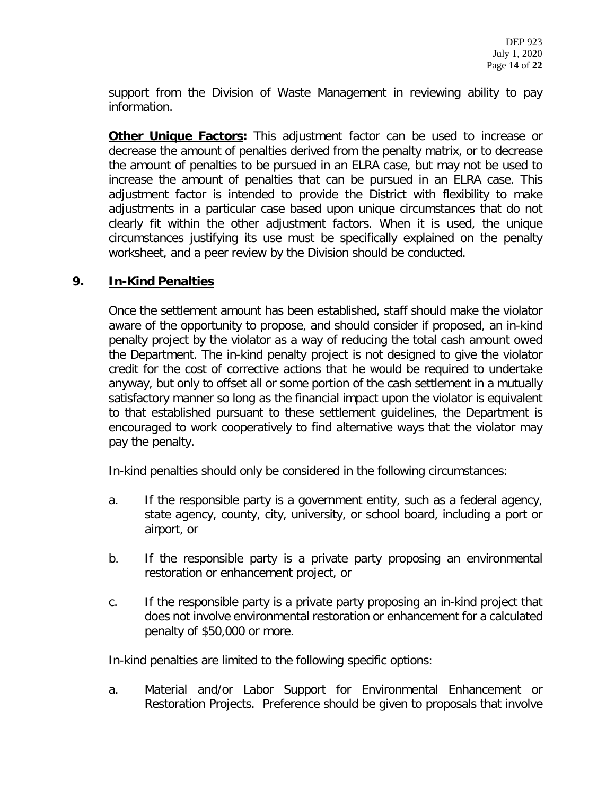support from the Division of Waste Management in reviewing ability to pay information.

**Other Unique Factors:** This adjustment factor can be used to increase or decrease the amount of penalties derived from the penalty matrix, or to decrease the amount of penalties to be pursued in an ELRA case, but may not be used to increase the amount of penalties that can be pursued in an ELRA case. This adjustment factor is intended to provide the District with flexibility to make adjustments in a particular case based upon unique circumstances that do not clearly fit within the other adjustment factors. When it is used, the unique circumstances justifying its use must be specifically explained on the penalty worksheet, and a peer review by the Division should be conducted.

## **9. In-Kind Penalties**

Once the settlement amount has been established, staff should make the violator aware of the opportunity to propose, and should consider if proposed, an in-kind penalty project by the violator as a way of reducing the total cash amount owed the Department. The in-kind penalty project is not designed to give the violator credit for the cost of corrective actions that he would be required to undertake anyway, but only to offset all or some portion of the cash settlement in a mutually satisfactory manner so long as the financial impact upon the violator is equivalent to that established pursuant to these settlement guidelines, the Department is encouraged to work cooperatively to find alternative ways that the violator may pay the penalty.

In-kind penalties should only be considered in the following circumstances:

- a. If the responsible party is a government entity, such as a federal agency, state agency, county, city, university, or school board, including a port or airport, or
- b. If the responsible party is a private party proposing an environmental restoration or enhancement project, or
- c. If the responsible party is a private party proposing an in-kind project that does not involve environmental restoration or enhancement for a calculated penalty of \$50,000 or more.

In-kind penalties are limited to the following specific options:

a. Material and/or Labor Support for Environmental Enhancement or Restoration Projects. Preference should be given to proposals that involve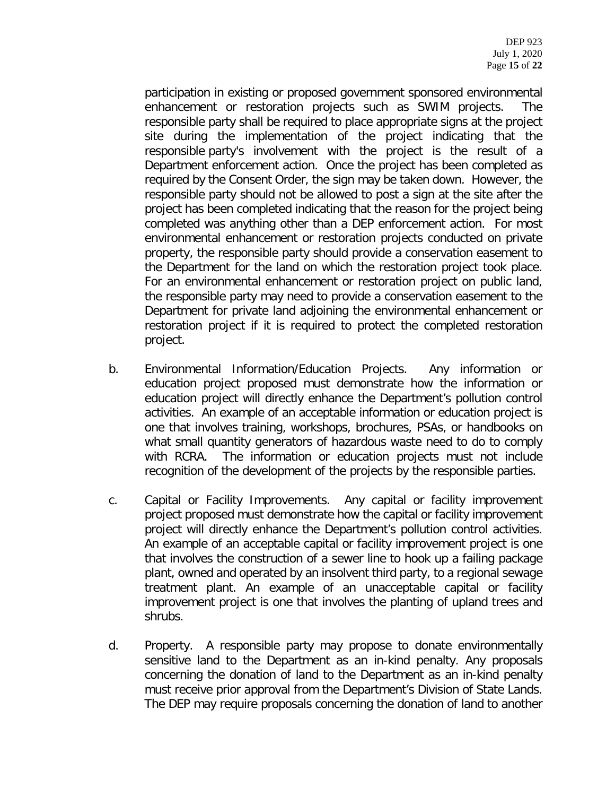participation in existing or proposed government sponsored environmental enhancement or restoration projects such as SWIM projects. The responsible party shall be required to place appropriate signs at the project site during the implementation of the project indicating that the responsible party's involvement with the project is the result of a Department enforcement action. Once the project has been completed as required by the Consent Order, the sign may be taken down. However, the responsible party should not be allowed to post a sign at the site after the project has been completed indicating that the reason for the project being completed was anything other than a DEP enforcement action. For most environmental enhancement or restoration projects conducted on private property, the responsible party should provide a conservation easement to the Department for the land on which the restoration project took place. For an environmental enhancement or restoration project on public land, the responsible party may need to provide a conservation easement to the Department for private land adjoining the environmental enhancement or restoration project if it is required to protect the completed restoration project.

- b. Environmental Information/Education Projects. Any information or education project proposed must demonstrate how the information or education project will directly enhance the Department's pollution control activities. An example of an acceptable information or education project is one that involves training, workshops, brochures, PSAs, or handbooks on what small quantity generators of hazardous waste need to do to comply with RCRA. The information or education projects must not include recognition of the development of the projects by the responsible parties.
- c. Capital or Facility Improvements. Any capital or facility improvement project proposed must demonstrate how the capital or facility improvement project will directly enhance the Department's pollution control activities. An example of an acceptable capital or facility improvement project is one that involves the construction of a sewer line to hook up a failing package plant, owned and operated by an insolvent third party, to a regional sewage treatment plant. An example of an unacceptable capital or facility improvement project is one that involves the planting of upland trees and shrubs.
- d. Property. A responsible party may propose to donate environmentally sensitive land to the Department as an in-kind penalty. Any proposals concerning the donation of land to the Department as an in-kind penalty must receive prior approval from the Department's Division of State Lands. The DEP may require proposals concerning the donation of land to another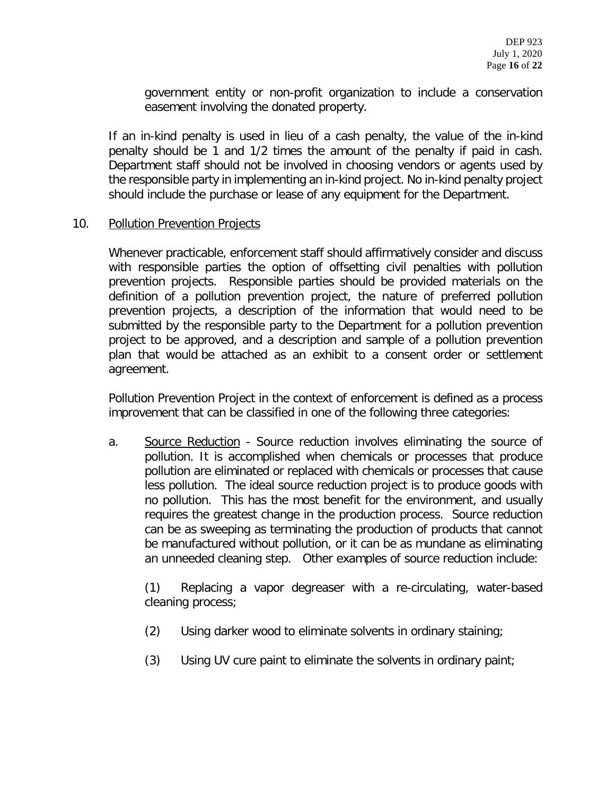government entity or non-profit organization to include a conservation easement involving the donated property.

If an in-kind penalty is used in lieu of a cash penalty, the value of the in-kind penalty should be 1 and 1/2 times the amount of the penalty if paid in cash. Department staff should not be involved in choosing vendors or agents used by the responsible party in implementing an in-kind project. No in-kind penalty project should include the purchase or lease of any equipment for the Department.

#### 10. Pollution Prevention Projects

Whenever practicable, enforcement staff should affirmatively consider and discuss with responsible parties the option of offsetting civil penalties with pollution prevention projects. Responsible parties should be provided materials on the definition of a pollution prevention project, the nature of preferred pollution prevention projects, a description of the information that would need to be submitted by the responsible party to the Department for a pollution prevention project to be approved, and a description and sample of a pollution prevention plan that would be attached as an exhibit to a consent order or settlement agreement.

Pollution Prevention Project in the context of enforcement is defined as a process improvement that can be classified in one of the following three categories:

a. Source Reduction - Source reduction involves eliminating the source of pollution. It is accomplished when chemicals or processes that produce pollution are eliminated or replaced with chemicals or processes that cause less pollution. The ideal source reduction project is to produce goods with no pollution. This has the most benefit for the environment, and usually requires the greatest change in the production process. Source reduction can be as sweeping as terminating the production of products that cannot be manufactured without pollution, or it can be as mundane as eliminating an unneeded cleaning step. Other examples of source reduction include:

(1) Replacing a vapor degreaser with a re-circulating, water-based cleaning process;

- (2) Using darker wood to eliminate solvents in ordinary staining;
- (3) Using UV cure paint to eliminate the solvents in ordinary paint;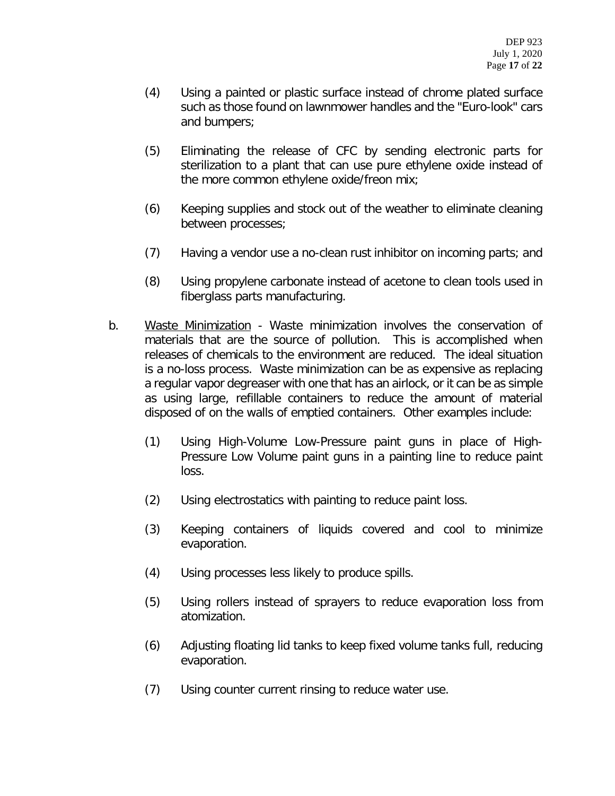- (4) Using a painted or plastic surface instead of chrome plated surface such as those found on lawnmower handles and the "Euro-look" cars and bumpers;
- (5) Eliminating the release of CFC by sending electronic parts for sterilization to a plant that can use pure ethylene oxide instead of the more common ethylene oxide/freon mix;
- (6) Keeping supplies and stock out of the weather to eliminate cleaning between processes;
- (7) Having a vendor use a no-clean rust inhibitor on incoming parts; and
- (8) Using propylene carbonate instead of acetone to clean tools used in fiberglass parts manufacturing.
- b. Waste Minimization Waste minimization involves the conservation of materials that are the source of pollution. This is accomplished when releases of chemicals to the environment are reduced. The ideal situation is a no-loss process. Waste minimization can be as expensive as replacing a regular vapor degreaser with one that has an airlock, or it can be as simple as using large, refillable containers to reduce the amount of material disposed of on the walls of emptied containers. Other examples include:
	- (1) Using High-Volume Low-Pressure paint guns in place of High-Pressure Low Volume paint guns in a painting line to reduce paint loss.
	- (2) Using electrostatics with painting to reduce paint loss.
	- (3) Keeping containers of liquids covered and cool to minimize evaporation.
	- (4) Using processes less likely to produce spills.
	- (5) Using rollers instead of sprayers to reduce evaporation loss from atomization.
	- (6) Adjusting floating lid tanks to keep fixed volume tanks full, reducing evaporation.
	- (7) Using counter current rinsing to reduce water use.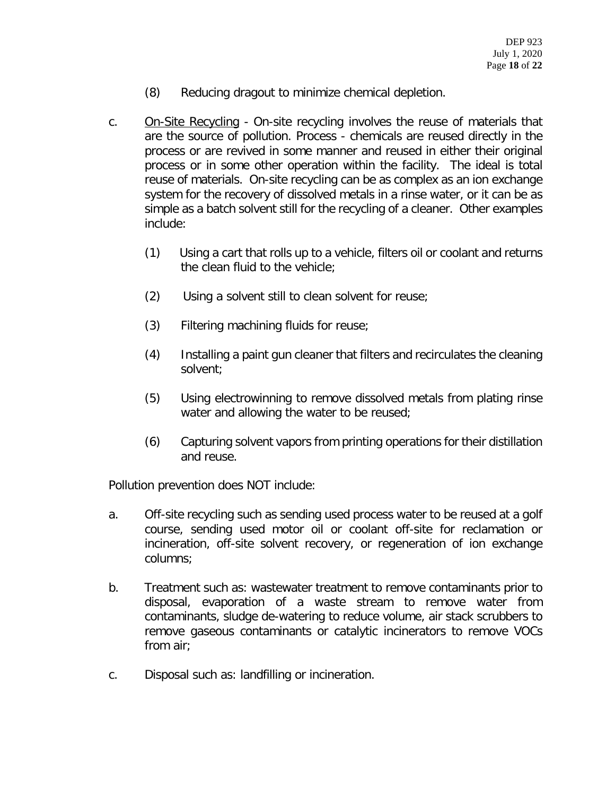- (8) Reducing dragout to minimize chemical depletion.
- c. On-Site Recycling On-site recycling involves the reuse of materials that are the source of pollution. Process - chemicals are reused directly in the process or are revived in some manner and reused in either their original process or in some other operation within the facility. The ideal is total reuse of materials. On-site recycling can be as complex as an ion exchange system for the recovery of dissolved metals in a rinse water, or it can be as simple as a batch solvent still for the recycling of a cleaner. Other examples include:
	- (1) Using a cart that rolls up to a vehicle, filters oil or coolant and returns the clean fluid to the vehicle;
	- (2) Using a solvent still to clean solvent for reuse;
	- (3) Filtering machining fluids for reuse;
	- (4) Installing a paint gun cleaner that filters and recirculates the cleaning solvent;
	- (5) Using electrowinning to remove dissolved metals from plating rinse water and allowing the water to be reused;
	- (6) Capturing solvent vapors from printing operations for their distillation and reuse.

Pollution prevention does NOT include:

- a. Off-site recycling such as sending used process water to be reused at a golf course, sending used motor oil or coolant off-site for reclamation or incineration, off-site solvent recovery, or regeneration of ion exchange columns;
- b. Treatment such as: wastewater treatment to remove contaminants prior to disposal, evaporation of a waste stream to remove water from contaminants, sludge de-watering to reduce volume, air stack scrubbers to remove gaseous contaminants or catalytic incinerators to remove VOCs from air;
- c. Disposal such as: landfilling or incineration.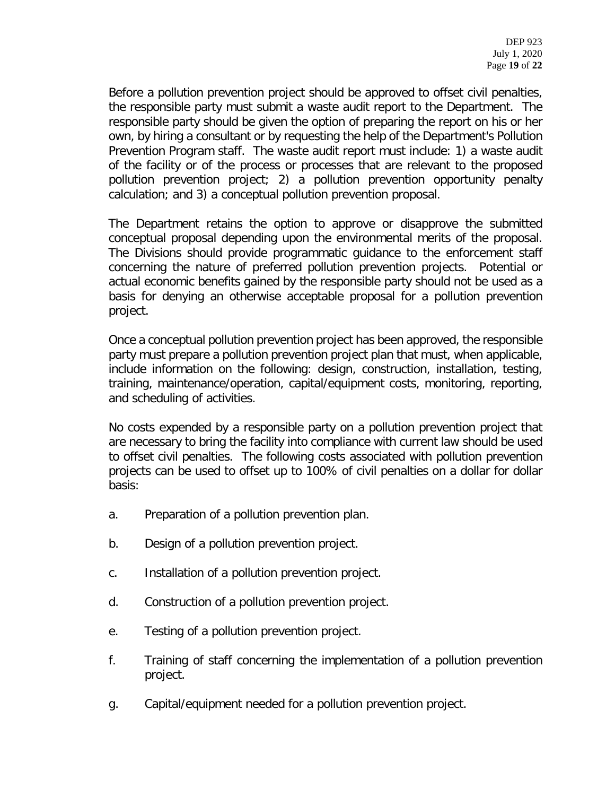Before a pollution prevention project should be approved to offset civil penalties, the responsible party must submit a waste audit report to the Department. The responsible party should be given the option of preparing the report on his or her own, by hiring a consultant or by requesting the help of the Department's Pollution Prevention Program staff. The waste audit report must include: 1) a waste audit of the facility or of the process or processes that are relevant to the proposed pollution prevention project; 2) a pollution prevention opportunity penalty calculation; and 3) a conceptual pollution prevention proposal.

The Department retains the option to approve or disapprove the submitted conceptual proposal depending upon the environmental merits of the proposal. The Divisions should provide programmatic guidance to the enforcement staff concerning the nature of preferred pollution prevention projects. Potential or actual economic benefits gained by the responsible party should not be used as a basis for denying an otherwise acceptable proposal for a pollution prevention project.

Once a conceptual pollution prevention project has been approved, the responsible party must prepare a pollution prevention project plan that must, when applicable, include information on the following: design, construction, installation, testing, training, maintenance/operation, capital/equipment costs, monitoring, reporting, and scheduling of activities.

No costs expended by a responsible party on a pollution prevention project that are necessary to bring the facility into compliance with current law should be used to offset civil penalties. The following costs associated with pollution prevention projects can be used to offset up to 100% of civil penalties on a dollar for dollar basis:

- a. Preparation of a pollution prevention plan.
- b. Design of a pollution prevention project.
- c. Installation of a pollution prevention project.
- d. Construction of a pollution prevention project.
- e. Testing of a pollution prevention project.
- f. Training of staff concerning the implementation of a pollution prevention project.
- g. Capital/equipment needed for a pollution prevention project.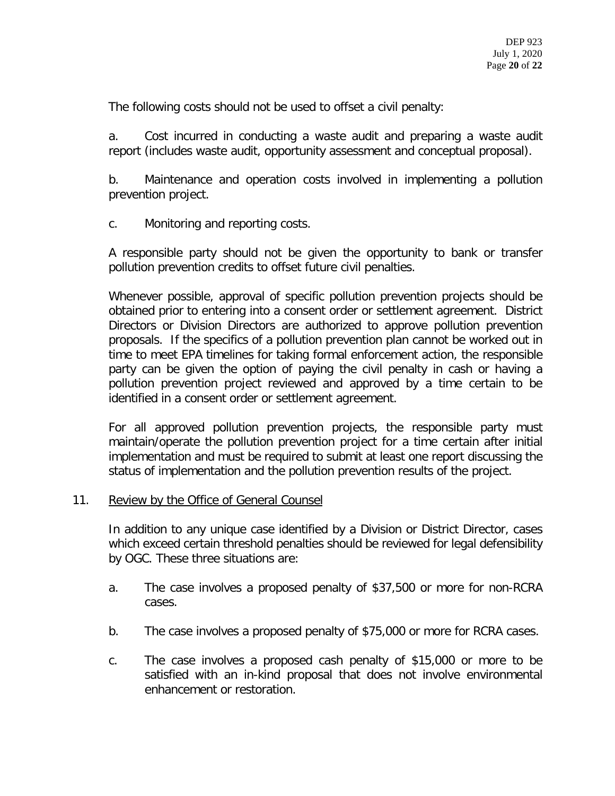The following costs should not be used to offset a civil penalty:

a. Cost incurred in conducting a waste audit and preparing a waste audit report (includes waste audit, opportunity assessment and conceptual proposal).

b. Maintenance and operation costs involved in implementing a pollution prevention project.

c. Monitoring and reporting costs.

A responsible party should not be given the opportunity to bank or transfer pollution prevention credits to offset future civil penalties.

Whenever possible, approval of specific pollution prevention projects should be obtained prior to entering into a consent order or settlement agreement. District Directors or Division Directors are authorized to approve pollution prevention proposals. If the specifics of a pollution prevention plan cannot be worked out in time to meet EPA timelines for taking formal enforcement action, the responsible party can be given the option of paying the civil penalty in cash or having a pollution prevention project reviewed and approved by a time certain to be identified in a consent order or settlement agreement.

For all approved pollution prevention projects, the responsible party must maintain/operate the pollution prevention project for a time certain after initial implementation and must be required to submit at least one report discussing the status of implementation and the pollution prevention results of the project.

#### 11. Review by the Office of General Counsel

In addition to any unique case identified by a Division or District Director, cases which exceed certain threshold penalties should be reviewed for legal defensibility by OGC. These three situations are:

- a. The case involves a proposed penalty of \$37,500 or more for non-RCRA cases.
- b. The case involves a proposed penalty of \$75,000 or more for RCRA cases.
- c. The case involves a proposed cash penalty of \$15,000 or more to be satisfied with an in-kind proposal that does not involve environmental enhancement or restoration.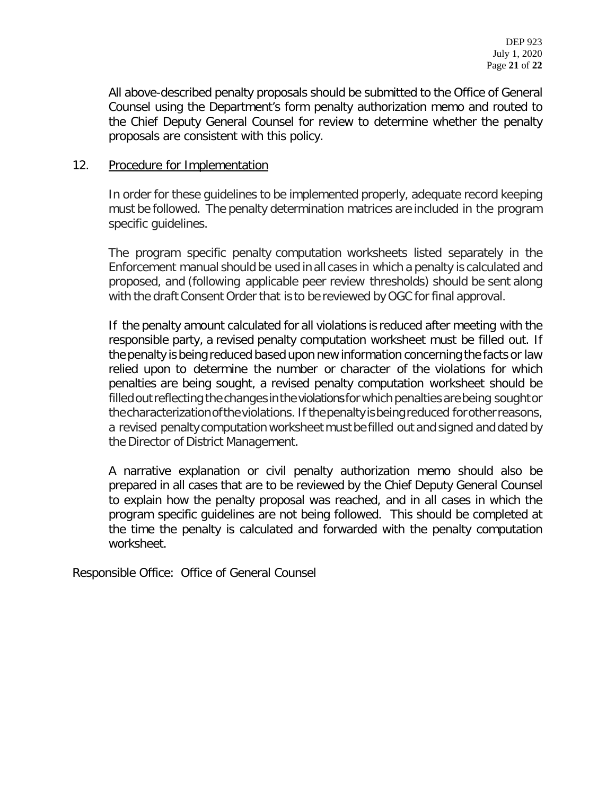All above-described penalty proposals should be submitted to the Office of General Counsel using the Department's form penalty authorization memo and routed to the Chief Deputy General Counsel for review to determine whether the penalty proposals are consistent with this policy.

#### 12. Procedure for Implementation

In order for these guidelines to be implemented properly, adequate record keeping must be followed. The penalty determination matrices are included in the program specific guidelines.

The program specific penalty computation worksheets listed separately in the Enforcement manual should be used in all cases in which a penalty is calculated and proposed, and (following applicable peer review thresholds) should be sent along with the draft Consent Order that is to be reviewed by OGC for final approval.

If the penalty amount calculated for all violations is reduced after meeting with the responsible party, a revised penalty computation worksheet must be filled out. If the penalty is being reduced based upon new information concerning the facts or law relied upon to determine the number or character of the violations for which penalties are being sought, a revised penalty computation worksheet should be filled out reflecting the changes in the violations for which penalties are being sought or thecharacterizationoftheviolations. If thepenaltyisbeingreduced forotherreasons, a revised penalty computation worksheet mustbefilled out and signed and dated by the Director of District Management.

A narrative explanation or civil penalty authorization memo should also be prepared in all cases that are to be reviewed by the Chief Deputy General Counsel to explain how the penalty proposal was reached, and in all cases in which the program specific guidelines are not being followed. This should be completed at the time the penalty is calculated and forwarded with the penalty computation worksheet.

Responsible Office: Office of General Counsel